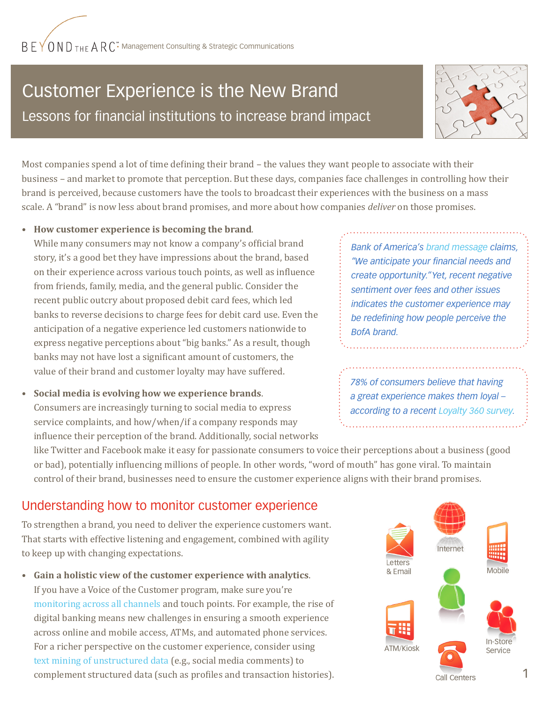# Customer Experience is the New Brand Lessons for financial institutions to increase brand impact



Most companies spend a lot of time defining their brand – the values they want people to associate with their business – and market to promote that perception. But these days, companies face challenges in controlling how their brand is perceived, because customers have the tools to broadcast their experiences with the business on a mass scale. A "brand" is now less about brand promises, and more about how companies *deliver* on those promises.

#### **• How customer experience is becoming the brand**.

While many consumers may not know a company's official brand story, it's a good bet they have impressions about the brand, based on their experience across various touch points, as well as influence from friends, family, media, and the general public. Consider the recent public outcry about proposed debit card fees, which led banks to reverse decisions to charge fees for debit card use. Even the anticipation of a negative experience led customers nationwide to express negative perceptions about "big banks." As a result, though banks may not have lost a significant amount of customers, the value of their brand and customer loyalty may have suffered.

**• Social media is evolving how we experience brands**. Consumers are increasingly turning to social media to express service complaints, and how/when/if a company responds may influence their perception of the brand. Additionally, social networks

*Bank of America's [brand message](http://mediaroom.bankofamerica.com/phoenix.zhtml?c=234503&p=irol-newsArticle&ID=1383057&highlight=) claims, "We anticipate your financial needs and create opportunity." Yet, recent negative sentiment over fees and other issues indicates the customer experience may be redefining how people perceive the BofA brand.*

*78% of consumers believe that having a great experience makes them loyal – according to a recent [Loyalty 360 survey](http://www.loyalty360.org/industry_news/loyalty-360-releases-top-12-customer-loyalty-trends-for-2012/).*

like Twitter and Facebook make it easy for passionate consumers to voice their perceptions about a business (good or bad), potentially influencing millions of people. In other words, "word of mouth" has gone viral. To maintain control of their brand, businesses need to ensure the customer experience aligns with their brand promises.

## Understanding how to monitor customer experience

To strengthen a brand, you need to deliver the experience customers want. That starts with effective listening and engagement, combined with agility to keep up with changing expectations.

**• Gain a holistic view of the customer experience with analytics**. If you have a Voice of the Customer program, make sure you're [monitoring across all channels](http://beyondthearc.com/blog/2010/customer-experience/customer-channel-use-taking-a-holistic-view) and touch points. For example, the rise of digital banking means new challenges in ensuring a smooth experience across online and mobile access, ATMs, and automated phone services. For a richer perspective on the customer experience, consider using [text mining of unstructured data](
http://beyondthearc.com/blog/2011/customer-experience/build-more-power-into-customer-experience-efforts-use-text-mining-of-unstructured-data-to-complement-structured-data) (e.g., social media comments) to complement structured data (such as profiles and transaction histories). Call Centers Call Centers 1

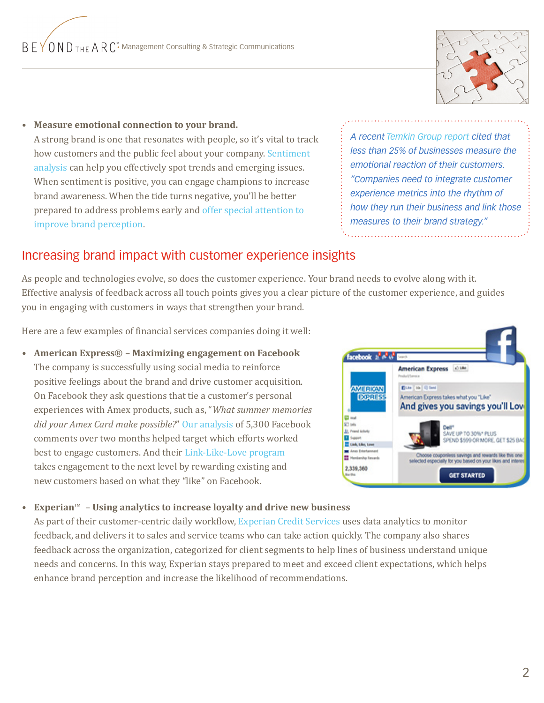

**• Measure emotional connection to your brand.** A strong brand is one that resonates with people, so it's vital to track how customers and the public feel about your company. [Sentiment](http://beyondthearc.com/blog/2011/customer-experience/using-sentiment-analysis-to-improve-customer-experience)  [analysis](http://beyondthearc.com/blog/2011/customer-experience/using-sentiment-analysis-to-improve-customer-experience) can help you effectively spot trends and emerging issues. When sentiment is positive, you can engage champions to increase brand awareness. When the tide turns negative, you'll be better prepared to address problems early and [offer special attention to](http://beyondthearc.com/blog/2011/customer-experience/transforming-negative-sentiment-into-a-winning-customer-experience)  [improve brand perception](http://beyondthearc.com/blog/2011/customer-experience/transforming-negative-sentiment-into-a-winning-customer-experience).

*A recent [Temkin Group report](
http://www.marketwatch.com/story/nine-out-of-ten-large-companies-lack-a-strong-customer-experience-measurement-program-according-to-new-temkin-group-research-2011-11-09) cited that less than 25% of businesses measure the emotional reaction of their customers. "Companies need to integrate customer experience metrics into the rhythm of how they run their business and link those measures to their brand strategy."*

## Increasing brand impact with customer experience insights

As people and technologies evolve, so does the customer experience. Your brand needs to evolve along with it. Effective analysis of feedback across all touch points gives you a clear picture of the customer experience, and guides you in engaging with customers in ways that strengthen your brand.

Here are a few examples of financial services companies doing it well:

**• American Express**® – **Maximizing engagement on Facebook** The company is successfully using social media to reinforce positive feelings about the brand and drive customer acquisition. On Facebook they ask questions that tie a customer's personal experiences with Amex products, such as, "*What summer memories did your Amex Card make possible?*" [Our analysis](
http://beyondthearc.com/blog/2011/customer-experience/how-can-you-maximize-engagement-on-your-facebook-fan-page) of 5,300 Facebook comments over two months helped target which efforts worked best to engage customers. And their [Link-Like-Love program](
https://www.facebook.com/americanexpress?v=app_216352075054740&app_data=%7b%22extlink%22:%22MerchantAdUnit%22%7d) takes engagement to the next level by rewarding existing and new customers based on what they "like" on Facebook.



#### **• Experian**™ – **Using analytics to increase loyalty and drive new business**

As part of their customer-centric daily workflow, [Experian Credit Services](
http://beyondthearc.com/downloads/Experian%20Success%20Story_VoC.pdf) uses data analytics to monitor feedback, and delivers it to sales and service teams who can take action quickly. The company also shares feedback across the organization, categorized for client segments to help lines of business understand unique needs and concerns. In this way, Experian stays prepared to meet and exceed client expectations, which helps enhance brand perception and increase the likelihood of recommendations.